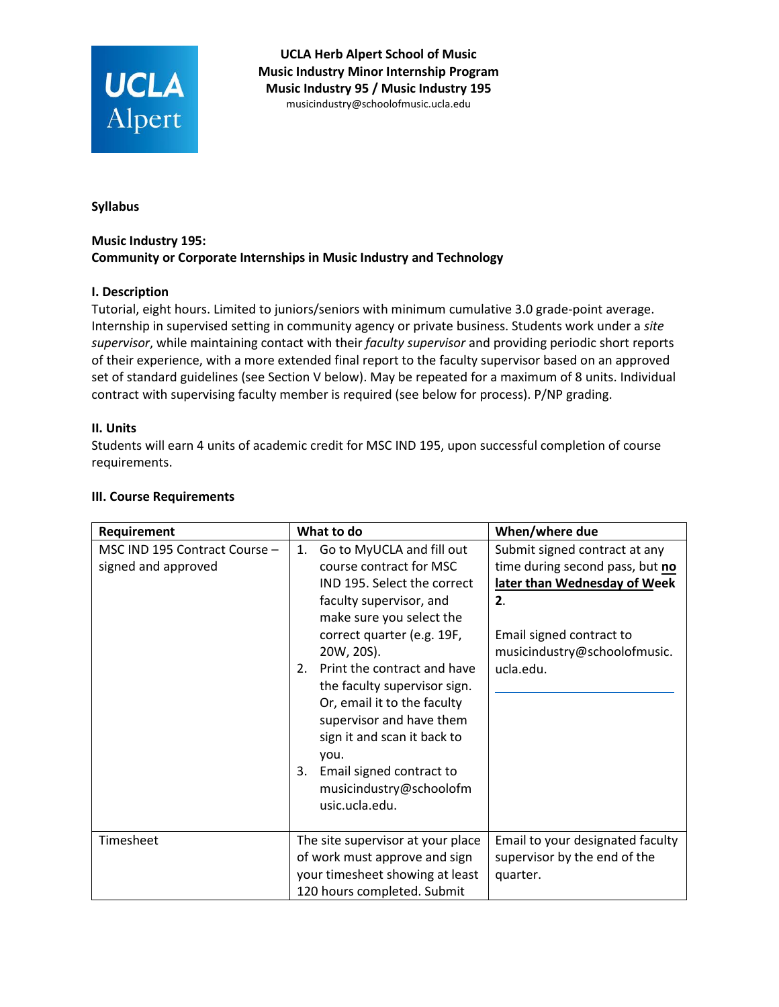

**UCLA Herb Alpert School of Music Music Industry Minor Internship Program Music Industry 95 / Music Industry 195**  mu[sicindustry@schoolofmusic.ucla.e](mailto:espitz@schoolofmusic.ucla.edu)du

**Syllabus**

## **Music Industry 195: Community or Corporate Internships in Music Industry and Technology**

### **I. Description**

Tutorial, eight hours. Limited to juniors/seniors with minimum cumulative 3.0 grade-point average. Internship in supervised setting in community agency or private business. Students work under a *site supervisor*, while maintaining contact with their *faculty supervisor* and providing periodic short reports of their experience, with a more extended final report to the faculty supervisor based on an approved set of standard guidelines (see Section V below). May be repeated for a maximum of 8 units. Individual contract with supervising faculty member is required (see below for process). P/NP grading.

### **II. Units**

Students will earn 4 units of academic credit for MSC IND 195, upon successful completion of course requirements.

| Requirement                                          | What to do                                                                                                                                                                                                                                                                                                                                                                                                                                         | When/where due                                                                                                                                                                  |
|------------------------------------------------------|----------------------------------------------------------------------------------------------------------------------------------------------------------------------------------------------------------------------------------------------------------------------------------------------------------------------------------------------------------------------------------------------------------------------------------------------------|---------------------------------------------------------------------------------------------------------------------------------------------------------------------------------|
| MSC IND 195 Contract Course -<br>signed and approved | Go to MyUCLA and fill out<br>1.<br>course contract for MSC<br>IND 195. Select the correct<br>faculty supervisor, and<br>make sure you select the<br>correct quarter (e.g. 19F,<br>20W, 20S).<br>Print the contract and have<br>2.<br>the faculty supervisor sign.<br>Or, email it to the faculty<br>supervisor and have them<br>sign it and scan it back to<br>you.<br>Email signed contract to<br>3.<br>musicindustry@schoolofm<br>usic.ucla.edu. | Submit signed contract at any<br>time during second pass, but no<br>later than Wednesday of Week<br>2.<br>Email signed contract to<br>musicindustry@schoolofmusic.<br>ucla.edu. |
| Timesheet                                            | The site supervisor at your place<br>of work must approve and sign<br>your timesheet showing at least<br>120 hours completed. Submit                                                                                                                                                                                                                                                                                                               | Email to your designated faculty<br>supervisor by the end of the<br>quarter.                                                                                                    |

### **III. Course Requirements**